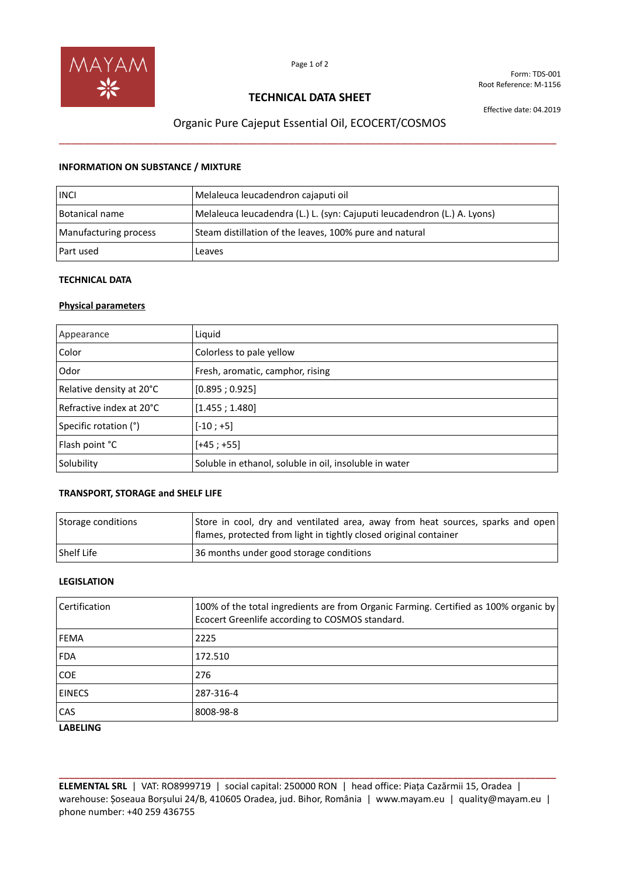

Form: TDS-001 Root Reference: M-1156

### **TECHNICAL DATA SHEET**

Effective date: 04.2019

# Organic Pure Cajeput Essential Oil, ECOCERT/COSMOS \_\_\_\_\_\_\_\_\_\_\_\_\_\_\_\_\_\_\_\_\_\_\_\_\_\_\_\_\_\_\_\_\_\_\_\_\_\_\_\_\_\_\_\_\_\_\_\_\_\_\_\_\_\_\_\_\_\_\_\_\_\_\_\_\_\_\_\_\_\_\_\_\_\_\_\_\_\_\_\_

#### **INFORMATION ON SUBSTANCE / MIXTURE**

| <b>INCI</b>           | Melaleuca leucadendron cajaputi oil                                      |
|-----------------------|--------------------------------------------------------------------------|
| Botanical name        | Melaleuca leucadendra (L.) L. (syn: Cajuputi leucadendron (L.) A. Lyons) |
| Manufacturing process | Steam distillation of the leaves, 100% pure and natural                  |
| Part used             | Leaves                                                                   |

### **TECHNICAL DATA**

#### **Physical parameters**

| Appearance               | Liquid                                                 |
|--------------------------|--------------------------------------------------------|
| Color                    | Colorless to pale yellow                               |
| Odor                     | Fresh, aromatic, camphor, rising                       |
| Relative density at 20°C | [0.895; 0.925]                                         |
| Refractive index at 20°C | [1.455; 1.480]                                         |
| Specific rotation (°)    | $[-10; +5]$                                            |
| Flash point °C           | $[+45; +55]$                                           |
| Solubility               | Soluble in ethanol, soluble in oil, insoluble in water |

#### **TRANSPORT, STORAGE and SHELF LIFE**

| Storage conditions | Store in cool, dry and ventilated area, away from heat sources, sparks and open<br>flames, protected from light in tightly closed original container |
|--------------------|------------------------------------------------------------------------------------------------------------------------------------------------------|
| l Shelf Life       | 36 months under good storage conditions                                                                                                              |

#### **LEGISLATION**

| Certification | 100% of the total ingredients are from Organic Farming. Certified as 100% organic by<br>Ecocert Greenlife according to COSMOS standard. |
|---------------|-----------------------------------------------------------------------------------------------------------------------------------------|
| <b>FEMA</b>   | 2225                                                                                                                                    |
| <b>FDA</b>    | 172.510                                                                                                                                 |
| <b>COE</b>    | 276                                                                                                                                     |
| <b>EINECS</b> | 287-316-4                                                                                                                               |
| <b>CAS</b>    | 8008-98-8                                                                                                                               |

#### **LABELING**

**ELEMENTAL SRL** | VAT: RO8999719 | social capital: 250000 RON | head office: Piața Cazărmii 15, Oradea | warehouse: Șoseaua Borșului 24/B, 410605 Oradea, jud. Bihor, România | www.mayam.eu | quality@mayam.eu | phone number: +40 259 436755

**\_\_\_\_\_\_\_\_\_\_\_\_\_\_\_\_\_\_\_\_\_\_\_\_\_\_\_\_\_\_\_\_\_\_\_\_\_\_\_\_\_\_\_\_\_\_\_\_\_\_\_\_\_\_\_\_\_\_\_\_\_\_\_\_\_\_\_\_\_\_\_\_\_\_\_\_\_\_\_\_\_\_\_\_\_\_\_\_\_\_\_\_\_\_\_\_**